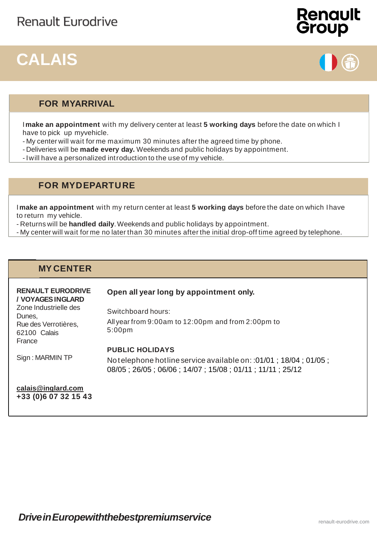## **CALAIS**





### **FOR MYARRIVAL**

I**make an appointment** with my delivery center at least **5 working days** before the date on which I have to pick up myvehicle.

- My center will wait for me maximum 30 minutes after the agreed time by phone.
- Deliveries will be **made every day.** Weekends and public holidays by appointment.
- Iwill have a personalized introduction to the use of my vehicle.

### **FOR MYDEPARTURE**

I**make an appointment** with my return center at least **5 working days** before the date on which Ihave to return my vehicle.

- Returns will be **handled daily**.Weekends and public holidays by appointment.

- My center will wait for me no later than 30 minutes after the initial drop-off time agreed by telephone.

### **MY CENTER**

### **RENAULT EURODRIVE / VOYAGESINGLARD**

### **Open all year long by appointment only.**

Zone Industrielle des Dunes, Rue des Verrotières, 62100 Calais France

Switchboard hours: All year from 9:00am to 12:00pm and from 2:00pm to 5:00pm

### **PUBLIC HOLIDAYS**

Sign : MARMIN TP

Notelephone hotline service available on: :01/01 ; 18/04 ; 01/05 ; 08/05 ; 26/05 ; 06/06 ; 14/07 ; 15/08 ; 01/11 ; 11/11 ; 25/12

**[calais@inglard.com](mailto:calais@inglard.com) +33 (0)6 07 32 15 43**